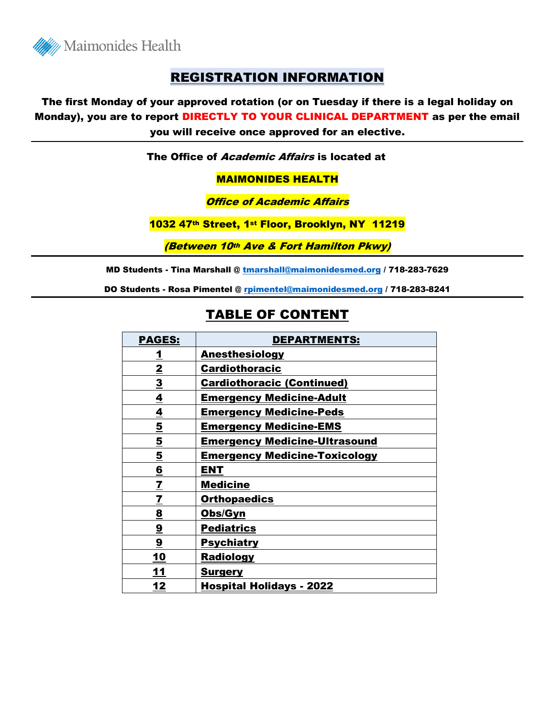

### REGISTRATION INFORMATION

The first Monday of your approved rotation (or on Tuesday if there is a legal holiday on Monday), you are to report DIRECTLY TO YOUR CLINICAL DEPARTMENT as per the email you will receive once approved for an elective.

The Office of Academic Affairs is located at

#### MAIMONIDES HEALTH

#### **Office of Academic Affairs**

#### 1032 47<sup>th</sup> Street, 1st Floor, Brooklyn, NY 11219

(Between 10th Ave & Fort Hamilton Pkwy)

MD Students - Tina Marshall @ [tmarshall@maimonidesmed.org](mailto:tmarshall@maimonidesmed.org) / 718-283-7629

DO Students - Rosa Pimentel @ [rpimentel@maimonidesmed.org](mailto:rpimentel@maimonidesmed.org) / 718-283-8241

### TABLE OF CONTENT

| <b>PAGES:</b>            | <b>DEPARTMENTS:</b>                  |
|--------------------------|--------------------------------------|
| <u>1</u>                 | <b>Anesthesiology</b>                |
| $\overline{2}$           | <b>Cardiothoracic</b>                |
| $\overline{\mathbf{3}}$  | <b>Cardiothoracic (Continued)</b>    |
| 4                        | <b>Emergency Medicine-Adult</b>      |
| 4                        | <b>Emergency Medicine-Peds</b>       |
| $\overline{\mathbf{5}}$  | <b>Emergency Medicine-EMS</b>        |
| <u>5</u>                 | <b>Emergency Medicine-Ultrasound</b> |
| $\overline{\mathbf{5}}$  | <b>Emergency Medicine-Toxicology</b> |
| 6                        | ENT                                  |
| $\overline{\mathbf{Z}}$  | <b>Medicine</b>                      |
| $\underline{\mathbf{7}}$ | <b>Orthopaedics</b>                  |
| $\overline{\mathbf{g}}$  | Obs/Gyn                              |
| $\overline{\mathbf{9}}$  | <b>Pediatrics</b>                    |
| $\overline{\mathbf{9}}$  | <u>Psychiatry</u>                    |
| 10                       | <b>Radiology</b>                     |
| 11                       | <b>Surgery</b>                       |
| 12                       | <b>Hospital Holidays - 2022</b>      |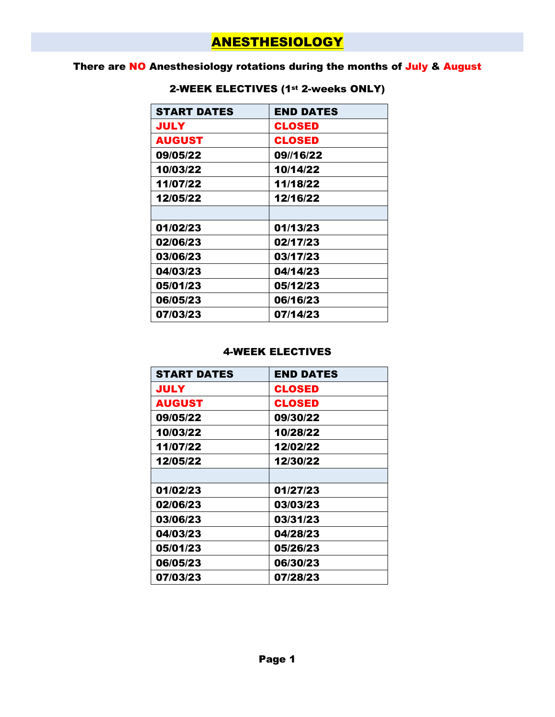## ANESTHESIOLOGY

### There are NO Anesthesiology rotations during the months of July & August

| <b>START DATES</b> | <b>END DATES</b> |
|--------------------|------------------|
| JULY               | <b>CLOSED</b>    |
| <b>AUGUST</b>      | <b>CLOSED</b>    |
| 09/05/22           | 09//16/22        |
| 10/03/22           | 10/14/22         |
| 11/07/22           | 11/18/22         |
| 12/05/22           | 12/16/22         |
|                    |                  |
| 01/02/23           | 01/13/23         |
| 02/06/23           | 02/17/23         |
| 03/06/23           | 03/17/23         |
| 04/03/23           | 04/14/23         |
| 05/01/23           | 05/12/23         |
| 06/05/23           | 06/16/23         |
| 07/03/23           | 07/14/23         |

### 2-WEEK ELECTIVES (1st 2-weeks ONLY)

| <b>START DATES</b> | <b>END DATES</b> |
|--------------------|------------------|
| <b>JULY</b>        | <b>CLOSED</b>    |
| <b>AUGUST</b>      | <b>CLOSED</b>    |
| 09/05/22           | 09/30/22         |
| 10/03/22           | 10/28/22         |
| 11/07/22           | 12/02/22         |
| 12/05/22           | 12/30/22         |
|                    |                  |
| 01/02/23           | 01/27/23         |
| 02/06/23           | 03/03/23         |
| 03/06/23           | 03/31/23         |
| 04/03/23           | 04/28/23         |
| 05/01/23           | 05/26/23         |
| 06/05/23           | 06/30/23         |
| 07/03/23           | 07/28/23         |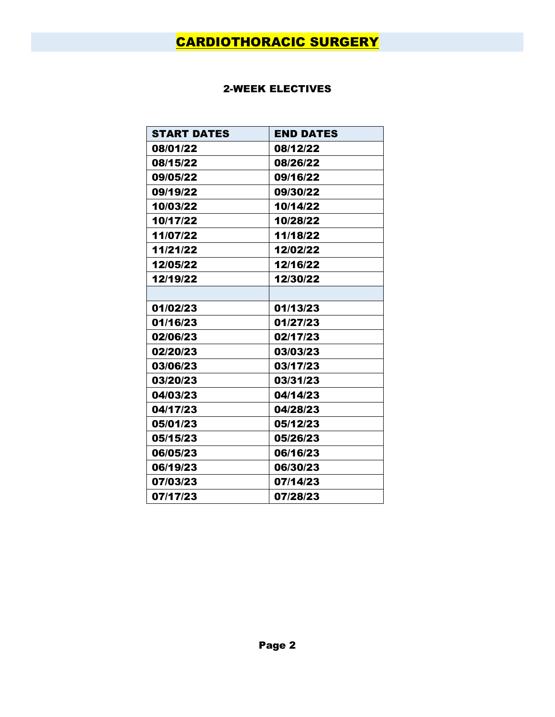# CARDIOTHORACIC SURGERY

| <b>START DATES</b> | <b>END DATES</b> |
|--------------------|------------------|
| 08/01/22           | 08/12/22         |
| 08/15/22           | 08/26/22         |
| 09/05/22           | 09/16/22         |
| 09/19/22           | 09/30/22         |
| 10/03/22           | 10/14/22         |
| 10/17/22           | 10/28/22         |
| 11/07/22           | 11/18/22         |
| 11/21/22           | 12/02/22         |
| 12/05/22           | 12/16/22         |
| 12/19/22           | 12/30/22         |
|                    |                  |
| 01/02/23           | 01/13/23         |
| 01/16/23           | 01/27/23         |
| 02/06/23           | 02/17/23         |
| 02/20/23           | 03/03/23         |
| 03/06/23           | 03/17/23         |
| 03/20/23           | 03/31/23         |
| 04/03/23           | 04/14/23         |
| 04/17/23           | 04/28/23         |
| 05/01/23           | 05/12/23         |
| 05/15/23           | 05/26/23         |
| 06/05/23           | 06/16/23         |
| 06/19/23           | 06/30/23         |
| 07/03/23           | 07/14/23         |
| 07/17/23           | 07/28/23         |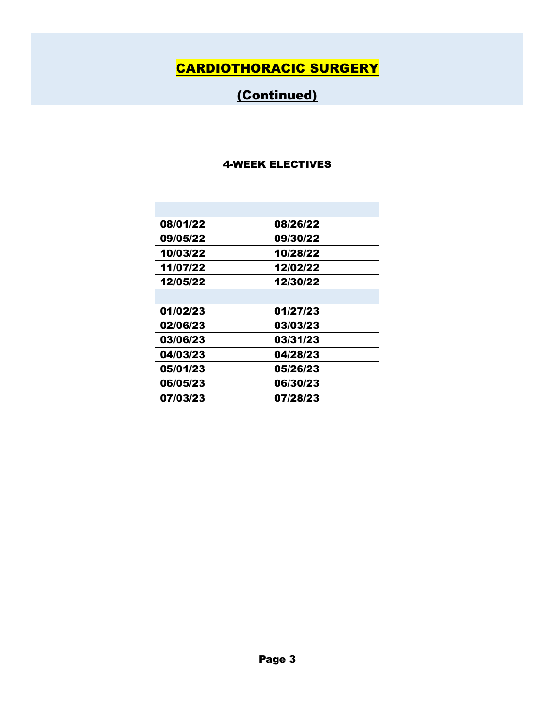# CARDIOTHORACIC SURGERY

# (Continued)

| 08/01/22 | 08/26/22 |
|----------|----------|
| 09/05/22 | 09/30/22 |
| 10/03/22 | 10/28/22 |
| 11/07/22 | 12/02/22 |
| 12/05/22 | 12/30/22 |
|          |          |
| 01/02/23 | 01/27/23 |
| 02/06/23 | 03/03/23 |
| 03/06/23 | 03/31/23 |
| 04/03/23 | 04/28/23 |
| 05/01/23 | 05/26/23 |
| 06/05/23 | 06/30/23 |
| 07/03/23 | 07/28/23 |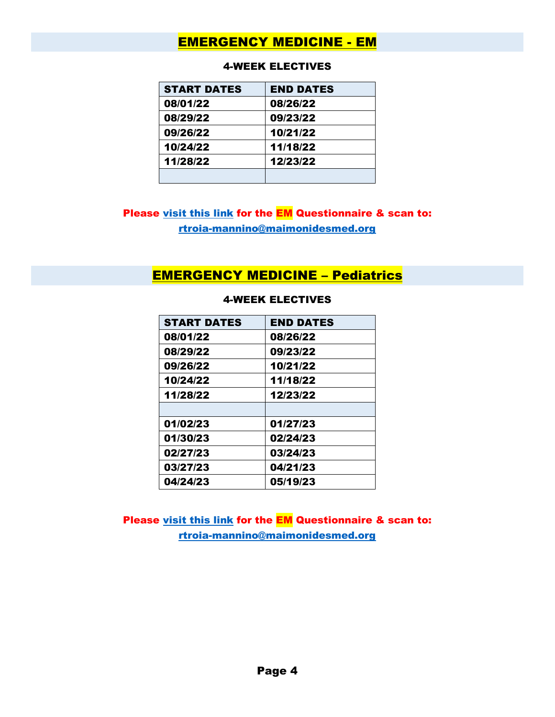### EMERGENCY MEDICINE - EM

| <b>START DATES</b> | <b>END DATES</b> |
|--------------------|------------------|
| 08/01/22           | 08/26/22         |
| 08/29/22           | 09/23/22         |
| 09/26/22           | 10/21/22         |
| 10/24/22           | 11/18/22         |
| 11/28/22           | 12/23/22         |
|                    |                  |

#### 4-WEEK ELECTIVES

### Please [visit this link](https://maimo.org/wp-content/uploads/2022/04/EM-Medical-Student-Questionnaire-22-23-All-Rotations.pdf) for the **EM** Questionnaire & scan to: [rtroia-mannino@maimonidesmed.org](mailto:rtroia-mannino@maimonidesmed.org)

### EMERGENCY MEDICINE – Pediatrics

| <b>START DATES</b> | <b>END DATES</b> |
|--------------------|------------------|
| 08/01/22           | 08/26/22         |
| 08/29/22           | 09/23/22         |
| 09/26/22           | 10/21/22         |
| 10/24/22           | 11/18/22         |
| 11/28/22           | 12/23/22         |
|                    |                  |
| 01/02/23           | 01/27/23         |
| 01/30/23           | 02/24/23         |
| 02/27/23           | 03/24/23         |
| 03/27/23           | 04/21/23         |
| 04/24/23           | 05/19/23         |

#### 4-WEEK ELECTIVES

Please [visit this link](https://maimo.org/wp-content/uploads/2022/04/EM-Medical-Student-Questionnaire-22-23-All-Rotations.pdf) for the EM Questionnaire & scan to: [rtroia-mannino@maimonidesmed.org](mailto:rtroia-mannino@maimonidesmed.org)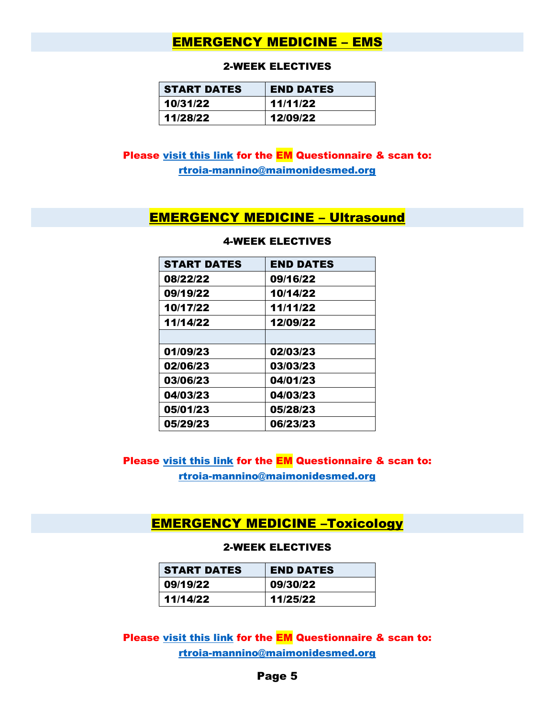### EMERGENCY MEDICINE – EMS

#### 2-WEEK ELECTIVES

| <b>START DATES</b> | <b>END DATES</b> |
|--------------------|------------------|
| 10/31/22           | 11/11/22         |
| 11/28/22           | 12/09/22         |

### Please [visit this link](https://maimo.org/wp-content/uploads/2022/04/EM-Medical-Student-Questionnaire-22-23-All-Rotations.pdf) for the EM Questionnaire & scan to: [rtroia-mannino@maimonidesmed.org](mailto:rtroia-mannino@maimonidesmed.org)

### EMERGENCY MEDICINE – Ultrasound

| <b>START DATES</b> | <b>END DATES</b> |
|--------------------|------------------|
| 08/22/22           | 09/16/22         |
| 09/19/22           | 10/14/22         |
| 10/17/22           | 11/11/22         |
| 11/14/22           | 12/09/22         |
|                    |                  |
| 01/09/23           | 02/03/23         |
| 02/06/23           | 03/03/23         |
| 03/06/23           | 04/01/23         |
| 04/03/23           | 04/03/23         |
| 05/01/23           | 05/28/23         |
| 05/29/23           | 06/23/23         |

#### 4-WEEK ELECTIVES

Please [visit this link](https://maimo.org/wp-content/uploads/2022/04/EM-Medical-Student-Questionnaire-22-23-All-Rotations.pdf) for the **EM** Questionnaire & scan to: [rtroia-mannino@maimonidesmed.org](mailto:rtroia-mannino@maimonidesmed.org)

### EMERGENCY MEDICINE –Toxicology

#### 2-WEEK ELECTIVES

| <b>START DATES</b> | <b>END DATES</b> |
|--------------------|------------------|
| 09/19/22           | 09/30/22         |
| 11/14/22           | 11/25/22         |

Please [visit this link](https://maimo.org/wp-content/uploads/2022/04/EM-Medical-Student-Questionnaire-22-23-All-Rotations.pdf) for the EM Questionnaire & scan to: [rtroia-mannino@maimonidesmed.org](mailto:rtroia-mannino@maimonidesmed.org)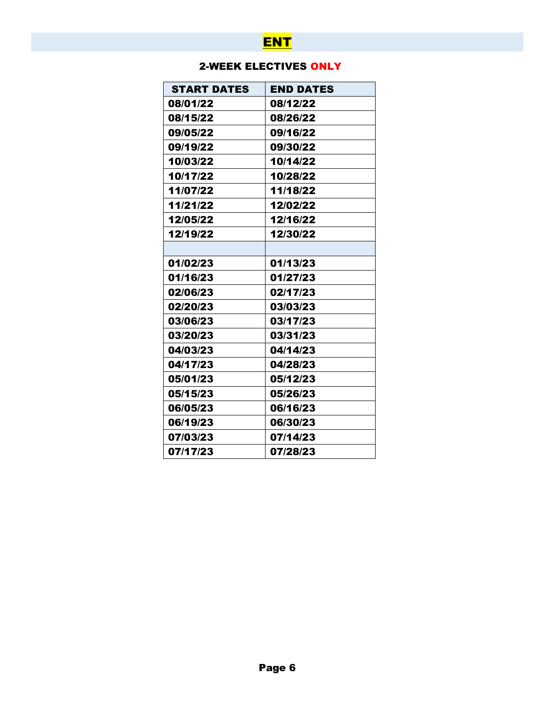# **ENT**

### 2-WEEK ELECTIVES ONLY

| <b>START DATES</b> | <b>END DATES</b> |
|--------------------|------------------|
| 08/01/22           | 08/12/22         |
| 08/15/22           | 08/26/22         |
| 09/05/22           | 09/16/22         |
| 09/19/22           | 09/30/22         |
| 10/03/22           | 10/14/22         |
| 10/17/22           | 10/28/22         |
| 11/07/22           | 11/18/22         |
| 11/21/22           | 12/02/22         |
| 12/05/22           | 12/16/22         |
| 12/19/22           | 12/30/22         |
|                    |                  |
| 01/02/23           | 01/13/23         |
| 01/16/23           | 01/27/23         |
| 02/06/23           | 02/17/23         |
| 02/20/23           | 03/03/23         |
| 03/06/23           | 03/17/23         |
| 03/20/23           | 03/31/23         |
| 04/03/23           | 04/14/23         |
| 04/17/23           | 04/28/23         |
| 05/01/23           | 05/12/23         |
| 05/15/23           | 05/26/23         |
| 06/05/23           | 06/16/23         |
| 06/19/23           | 06/30/23         |
| 07/03/23           | 07/14/23         |
| 07/17/23           | 07/28/23         |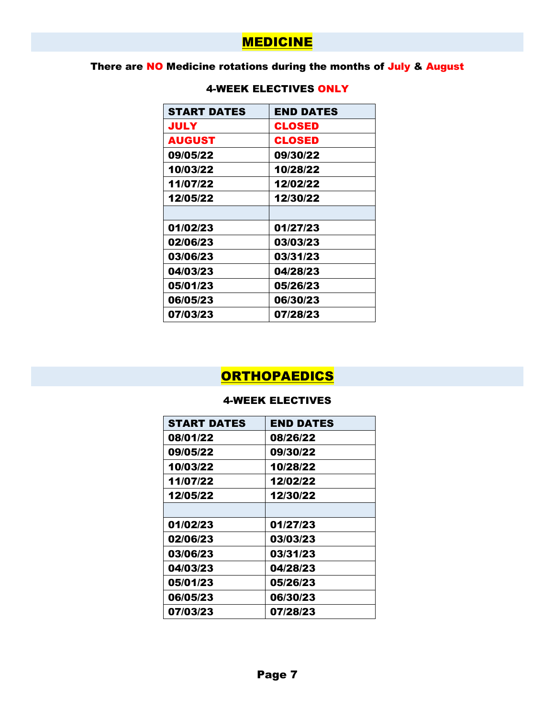## **MEDICINE**

### There are NO Medicine rotations during the months of July & August

| <b>START DATES</b> | <b>END DATES</b> |
|--------------------|------------------|
| JULY               | <b>CLOSED</b>    |
| AUGUST             | CLOSED           |
| 09/05/22           | 09/30/22         |
| 10/03/22           | 10/28/22         |
| 11/07/22           | 12/02/22         |
| 12/05/22           | 12/30/22         |
|                    |                  |
| 01/02/23           | 01/27/23         |
| 02/06/23           | 03/03/23         |
| 03/06/23           | 03/31/23         |
| 04/03/23           | 04/28/23         |
| 05/01/23           | 05/26/23         |
| 06/05/23           | 06/30/23         |
| 07/03/23           | 07/28/23         |

### 4-WEEK ELECTIVES ONLY

# **ORTHOPAEDICS**

| <b>START DATES</b> | <b>END DATES</b> |
|--------------------|------------------|
| 08/01/22           | 08/26/22         |
| 09/05/22           | 09/30/22         |
| 10/03/22           | 10/28/22         |
| 11/07/22           | 12/02/22         |
| 12/05/22           | 12/30/22         |
|                    |                  |
| 01/02/23           | 01/27/23         |
| 02/06/23           | 03/03/23         |
| 03/06/23           | 03/31/23         |
| 04/03/23           | 04/28/23         |
| 05/01/23           | 05/26/23         |
| 06/05/23           | 06/30/23         |
| 07/03/23           | 07/28/23         |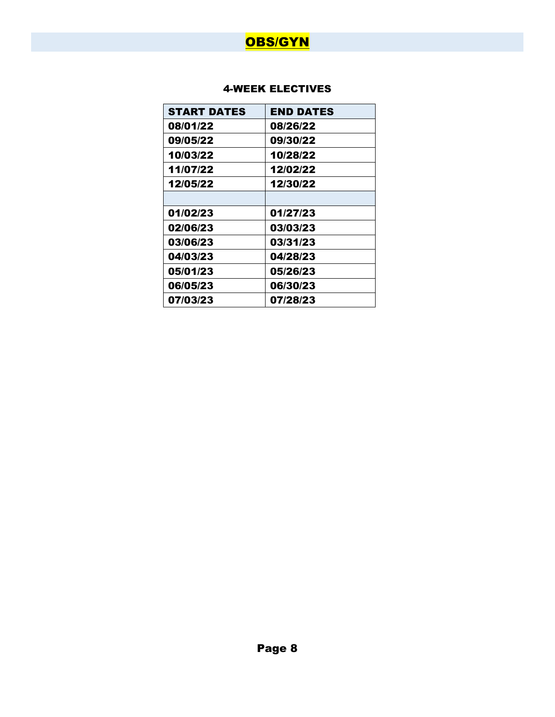

| <b>START DATES</b> | <b>END DATES</b> |
|--------------------|------------------|
| 08/01/22           | 08/26/22         |
| 09/05/22           | 09/30/22         |
| 10/03/22           | 10/28/22         |
| 11/07/22           | 12/02/22         |
| 12/05/22           | 12/30/22         |
|                    |                  |
| 01/02/23           | 01/27/23         |
| 02/06/23           | 03/03/23         |
| 03/06/23           | 03/31/23         |
| 04/03/23           | 04/28/23         |
| 05/01/23           | 05/26/23         |
| 06/05/23           | 06/30/23         |
| 07/03/23           | 07/28/23         |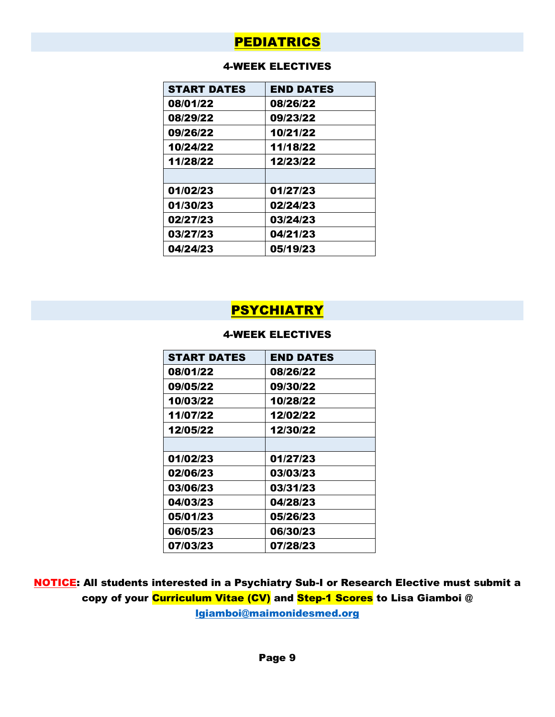### PEDIATRICS

### 4-WEEK ELECTIVES

| <b>START DATES</b> | <b>END DATES</b> |
|--------------------|------------------|
| 08/01/22           | 08/26/22         |
| 08/29/22           | 09/23/22         |
| 09/26/22           | 10/21/22         |
| 10/24/22           | 11/18/22         |
| 11/28/22           | 12/23/22         |
|                    |                  |
| 01/02/23           | 01/27/23         |
| 01/30/23           | 02/24/23         |
| 02/27/23           | 03/24/23         |
| 03/27/23           | 04/21/23         |
| 04/24/23           | 05/19/23         |

### PSYCHIATRY

### 4-WEEK ELECTIVES

| <b>START DATES</b> | <b>END DATES</b> |
|--------------------|------------------|
| 08/01/22           | 08/26/22         |
| 09/05/22           | 09/30/22         |
| 10/03/22           | 10/28/22         |
| 11/07/22           | 12/02/22         |
| 12/05/22           | 12/30/22         |
|                    |                  |
| 01/02/23           | 01/27/23         |
| 02/06/23           | 03/03/23         |
| 03/06/23           | 03/31/23         |
| 04/03/23           | 04/28/23         |
| 05/01/23           | 05/26/23         |
| 06/05/23           | 06/30/23         |
| 07/03/23           | 07/28/23         |

NOTICE: All students interested in a Psychiatry Sub-I or Research Elective must submit a copy of your Curriculum Vitae (CV) and Step-1 Scores to Lisa Giamboi @ [lgiamboi@maimonidesmed.org](mailto:lgiamboi@maimonidesmed.org)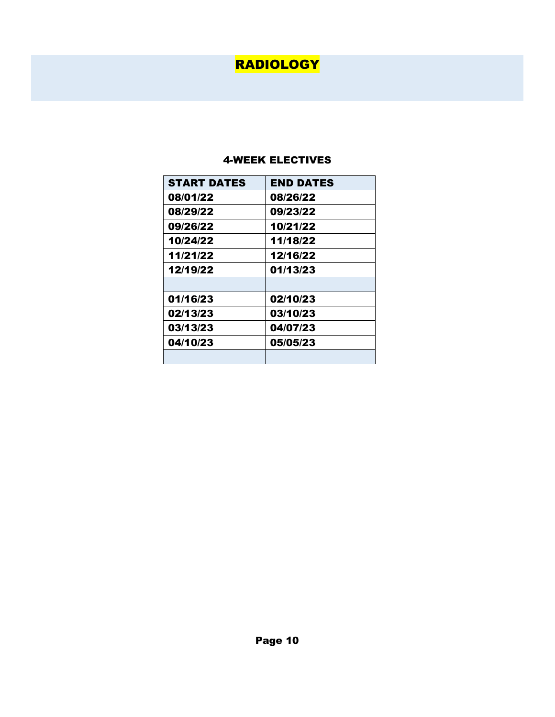# RADIOLOGY

| <b>START DATES</b> | <b>END DATES</b> |
|--------------------|------------------|
| 08/01/22           | 08/26/22         |
| 08/29/22           | 09/23/22         |
| 09/26/22           | 10/21/22         |
| 10/24/22           | 11/18/22         |
| 11/21/22           | 12/16/22         |
| 12/19/22           | 01/13/23         |
|                    |                  |
| 01/16/23           | 02/10/23         |
| 02/13/23           | 03/10/23         |
| 03/13/23           | 04/07/23         |
| 04/10/23           | 05/05/23         |
|                    |                  |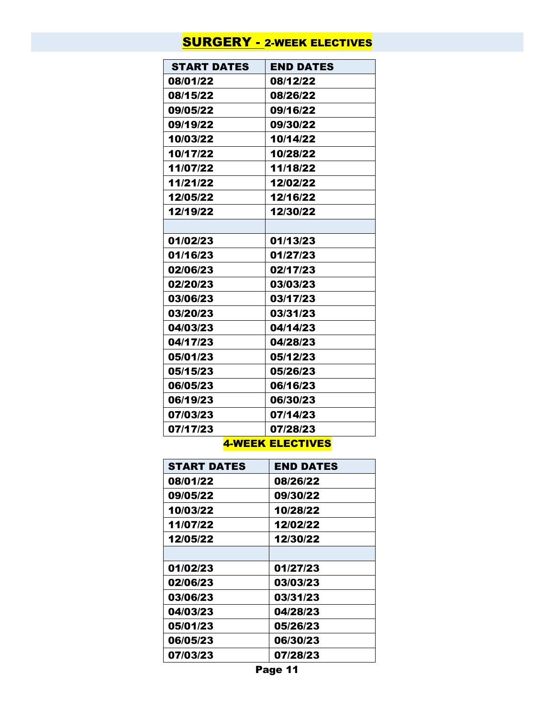## **SURGERY - 2-WEEK ELECTIVES**

| <b>START DATES</b> | <b>END DATES</b> |
|--------------------|------------------|
| 08/01/22           | 08/12/22         |
| 08/15/22           | 08/26/22         |
| 09/05/22           | 09/16/22         |
| 09/19/22           | 09/30/22         |
| 10/03/22           | 10/14/22         |
| 10/17/22           | 10/28/22         |
| 11/07/22           | 11/18/22         |
| 11/21/22           | 12/02/22         |
| 12/05/22           | 12/16/22         |
| 12/19/22           | 12/30/22         |
|                    |                  |
| 01/02/23           | 01/13/23         |
| 01/16/23           | 01/27/23         |
| 02/06/23           | 02/17/23         |
| 02/20/23           | 03/03/23         |
| 03/06/23           | 03/17/23         |
| 03/20/23           | 03/31/23         |
| 04/03/23           | 04/14/23         |
| 04/17/23           | 04/28/23         |
| 05/01/23           | 05/12/23         |
| 05/15/23           | 05/26/23         |
| 06/05/23           | 06/16/23         |
| 06/19/23           | 06/30/23         |
| 07/03/23           | 07/14/23         |
| 07/17/23           | 07/28/23         |

| <b>START DATES</b> | <b>END DATES</b> |
|--------------------|------------------|
| 08/01/22           | 08/26/22         |
| 09/05/22           | 09/30/22         |
| 10/03/22           | 10/28/22         |
| 11/07/22           | 12/02/22         |
| 12/05/22           | 12/30/22         |
|                    |                  |
| 01/02/23           | 01/27/23         |
| 02/06/23           | 03/03/23         |
| 03/06/23           | 03/31/23         |
| 04/03/23           | 04/28/23         |
| 05/01/23           | 05/26/23         |
| 06/05/23           | 06/30/23         |
| 07/03/23           | 07/28/23         |

Page 11